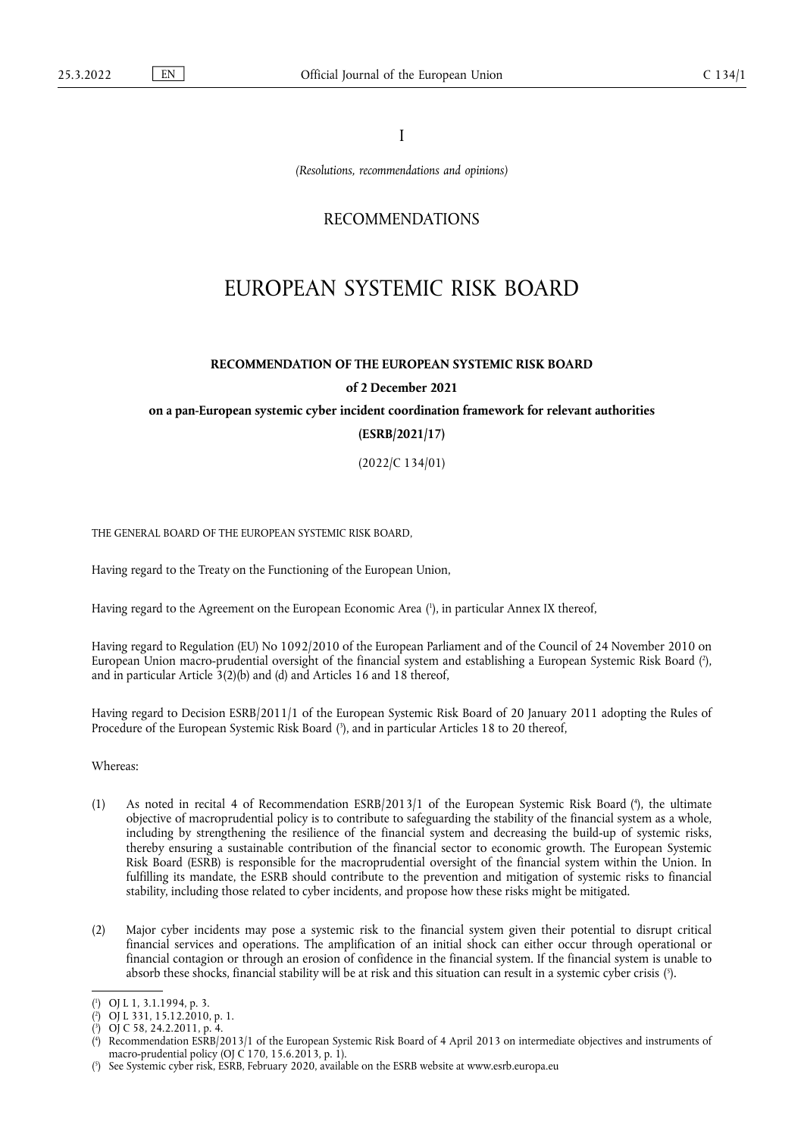I

*(Resolutions, recommendations and opinions)*

# RECOMMENDATIONS

# EUROPEAN SYSTEMIC RISK BOARD

# **RECOMMENDATION OF THE EUROPEAN SYSTEMIC RISK BOARD of 2 December 2021**

**on a pan-European systemic cyber incident coordination framework for relevant authorities** 

## **(ESRB/2021/17)**

(2022/C 134/01)

THE GENERAL BOARD OF THE EUROPEAN SYSTEMIC RISK BOARD,

Having regard to the Treaty on the Functioning of the European Union,

<span id="page-0-5"></span>Having regard to the Agreement on the European Economic Area ( 1 [\),](#page-0-0) in particular Annex IX thereof,

<span id="page-0-6"></span>Having regard to Regulation (EU) No 1092/2010 of the European Parliament and of the Council of 24 November 2010 on European Union macro-prudential oversight of the financial system and establishing a European Systemic Risk Board [\(](#page-0-1) 2 ), and in particular Article 3(2)(b) and (d) and Articles 16 and 18 thereof,

<span id="page-0-7"></span>Having regard to Decision ESRB/2011/1 of the European Systemic Risk Board of 20 January 2011 adopting the Rules of Procedure of the European Systemic Risk Board ( 3 [\),](#page-0-2) and in particular Articles 18 to 20 thereof,

Whereas:

- <span id="page-0-8"></span>(1) As noted in recital 4 of Recommendation ESRB/2013/1 of the European Systemic Risk Board (4[\),](#page-0-3) the ultimate objective of macroprudential policy is to contribute to safeguarding the stability of the financial system as a whole, including by strengthening the resilience of the financial system and decreasing the build-up of systemic risks, thereby ensuring a sustainable contribution of the financial sector to economic growth. The European Systemic Risk Board (ESRB) is responsible for the macroprudential oversight of the financial system within the Union. In fulfilling its mandate, the ESRB should contribute to the prevention and mitigation of systemic risks to financial stability, including those related to cyber incidents, and propose how these risks might be mitigated.
- (2) Major cyber incidents may pose a systemic risk to the financial system given their potential to disrupt critical financial services and operations. The amplification of an initial shock can either occur through operational or financial contagion or through an erosion of confidence in the financial system. If the financial system is unable to absorb these shocks, financial stability will be at risk and this situation can result in a systemic cyber crisis (°[\).](#page-0-4)

<span id="page-0-9"></span><span id="page-0-0"></span>[<sup>\(</sup>](#page-0-5) 1 ) OJ L 1, 3.1.1994, p. 3.

<span id="page-0-1"></span>[<sup>\(</sup>](#page-0-6) 2 ) OJ L 331, 15.12.2010, p. 1.

<span id="page-0-2"></span>[<sup>\(</sup>](#page-0-7) 3 ) OJ C 58, 24.2.2011, p. 4.

<span id="page-0-3"></span>[<sup>\(</sup>](#page-0-8) 4 ) Recommendation ESRB/2013/1 of the European Systemic Risk Board of 4 April 2013 on intermediate objectives and instruments of macro-prudential policy (OJ C 170, 15.6.2013, p. 1).

<span id="page-0-4"></span><sup>(</sup> 5 [\)](#page-0-9) See Systemic cyber risk, ESRB, February 2020, available on the ESRB website at <www.esrb.europa.eu>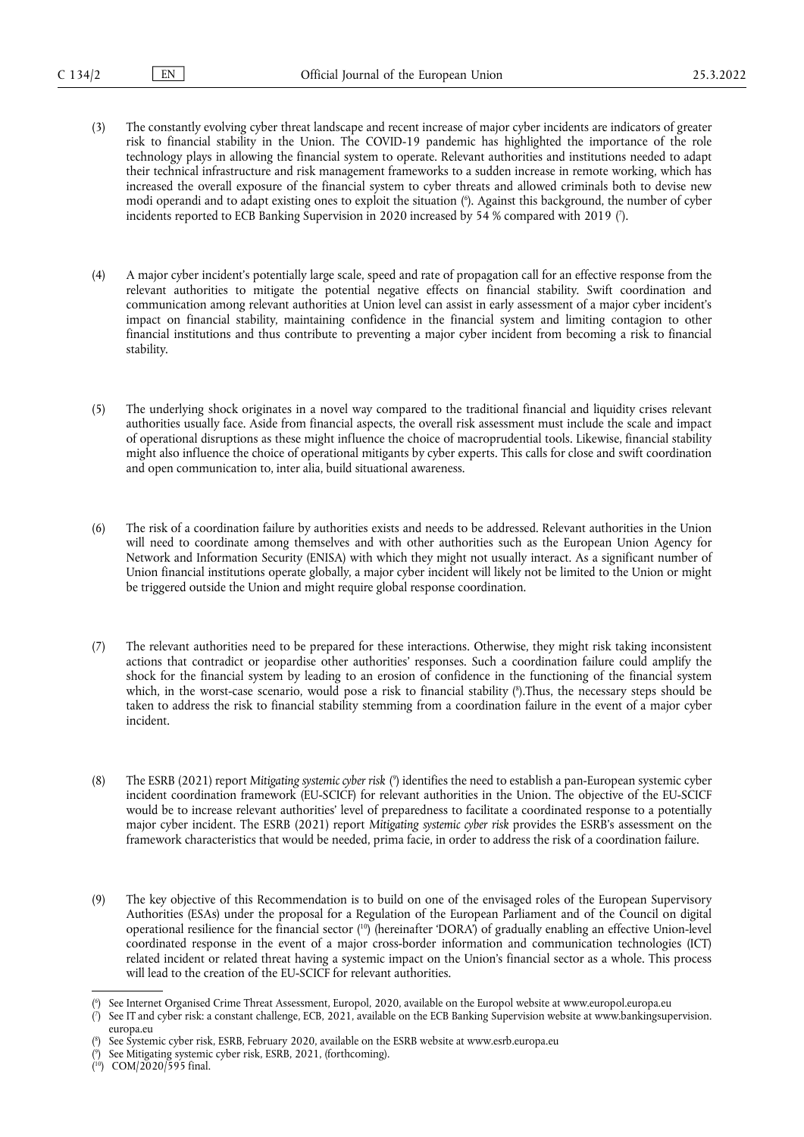- <span id="page-1-5"></span>(3) The constantly evolving cyber threat landscape and recent increase of major cyber incidents are indicators of greater risk to financial stability in the Union. The COVID-19 pandemic has highlighted the importance of the role technology plays in allowing the financial system to operate. Relevant authorities and institutions needed to adapt their technical infrastructure and risk management frameworks to a sudden increase in remote working, which has increased the overall exposure of the financial system to cyber threats and allowed criminals both to devise new modi operandi and to adapt existing ones to exploit the situation ( 6 [\).](#page-1-0) Against this background, the number of cyber incidents reported to ECB Banking Supervision in 2020 increased by 54 % compared with 2019 [\(](#page-1-1)').
- <span id="page-1-6"></span>(4) A major cyber incident's potentially large scale, speed and rate of propagation call for an effective response from the relevant authorities to mitigate the potential negative effects on financial stability. Swift coordination and communication among relevant authorities at Union level can assist in early assessment of a major cyber incident's impact on financial stability, maintaining confidence in the financial system and limiting contagion to other financial institutions and thus contribute to preventing a major cyber incident from becoming a risk to financial stability.
- (5) The underlying shock originates in a novel way compared to the traditional financial and liquidity crises relevant authorities usually face. Aside from financial aspects, the overall risk assessment must include the scale and impact of operational disruptions as these might influence the choice of macroprudential tools. Likewise, financial stability might also influence the choice of operational mitigants by cyber experts. This calls for close and swift coordination and open communication to, inter alia, build situational awareness.
- (6) The risk of a coordination failure by authorities exists and needs to be addressed. Relevant authorities in the Union will need to coordinate among themselves and with other authorities such as the European Union Agency for Network and Information Security (ENISA) with which they might not usually interact. As a significant number of Union financial institutions operate globally, a major cyber incident will likely not be limited to the Union or might be triggered outside the Union and might require global response coordination.
- <span id="page-1-7"></span>(7) The relevant authorities need to be prepared for these interactions. Otherwise, they might risk taking inconsistent actions that contradict or jeopardise other authorities' responses. Such a coordination failure could amplify the shock for the financial system by leading to an erosion of confidence in the functioning of the financial system which, in the worst-case scenario, would pose a risk to financial stability [\(](#page-1-2) 8 ).Thus, the necessary steps should be taken to address the risk to financial stability stemming from a coordination failure in the event of a major cyber incident.
- <span id="page-1-8"></span>(8) The ESRB (2021) report *Mitigating systemic cyber risk* [\(](#page-1-3) 9 ) identifies the need to establish a pan-European systemic cyber incident coordination framework (EU-SCICF) for relevant authorities in the Union. The objective of the EU-SCICF would be to increase relevant authorities' level of preparedness to facilitate a coordinated response to a potentially major cyber incident. The ESRB (2021) report *Mitigating systemic cyber risk* provides the ESRB's assessment on the framework characteristics that would be needed, prima facie, in order to address the risk of a coordination failure.
- <span id="page-1-9"></span>(9) The key objective of this Recommendation is to build on one of the envisaged roles of the European Supervisory Authorities (ESAs) under the proposal for a Regulation of the European Parliament and of the Council on digital operational resilience for the financial sector ( [10\)](#page-1-4) (hereinafter 'DORA') of gradually enabling an effective Union-level coordinated response in the event of a major cross-border information and communication technologies (ICT) related incident or related threat having a systemic impact on the Union's financial sector as a whole. This process will lead to the creation of the EU-SCICF for relevant authorities.

<span id="page-1-0"></span>[<sup>\(</sup>](#page-1-5) 6 ) See Internet Organised Crime Threat Assessment, Europol, 2020, available on the Europol website at <www.europol.europa.eu>

<span id="page-1-1"></span>[<sup>\(</sup>](#page-1-6) 7 ) See IT and cyber risk: a constant challenge, ECB, 2021, available on the ECB Banking Supervision website at [www.bankingsupervision.](www.bankingsupervision.europa.eu) [europa.eu](www.bankingsupervision.europa.eu)

<span id="page-1-2"></span>[<sup>\(</sup>](#page-1-7) 8 ) See Systemic cyber risk, ESRB, February 2020, available on the ESRB website at <www.esrb.europa.eu>

<span id="page-1-3"></span>[<sup>\(</sup>](#page-1-8) 9 ) See Mitigating systemic cyber risk, ESRB, 2021, (forthcoming).

<span id="page-1-4"></span><sup>(</sup> [10\)](#page-1-9) COM/2020/595 final.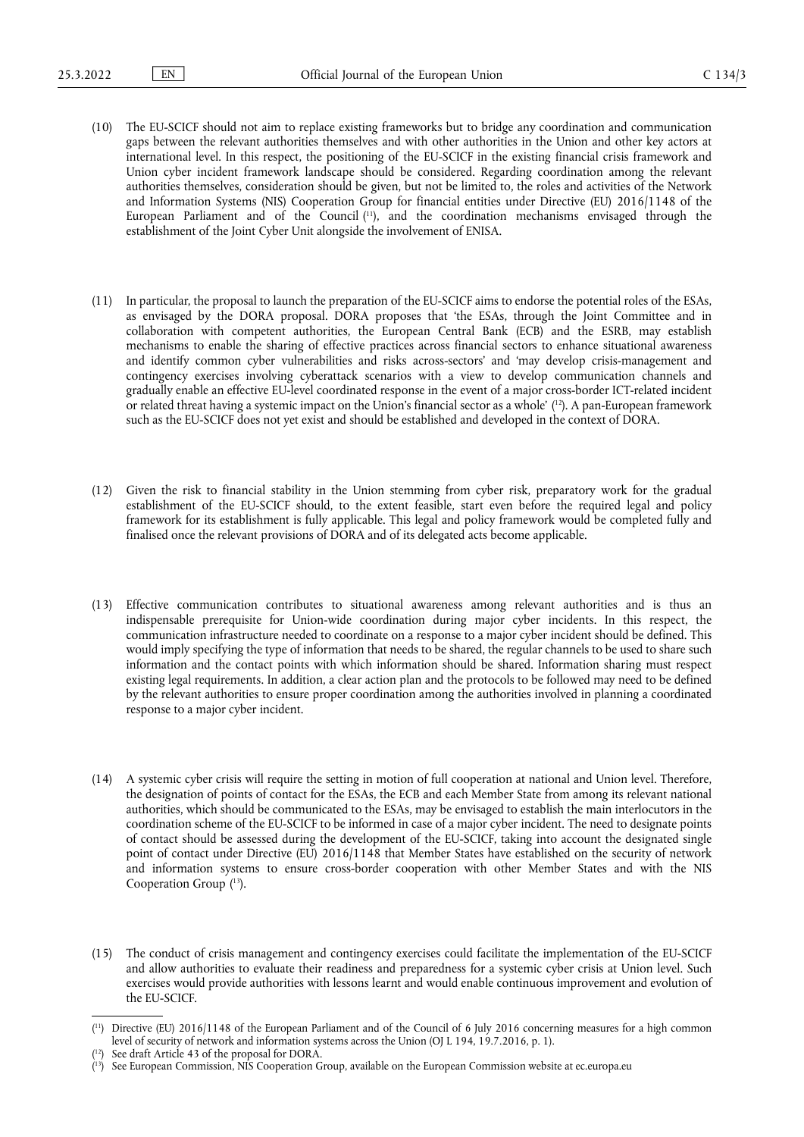- <span id="page-2-3"></span>(10) The EU-SCICF should not aim to replace existing frameworks but to bridge any coordination and communication gaps between the relevant authorities themselves and with other authorities in the Union and other key actors at international level. In this respect, the positioning of the EU-SCICF in the existing financial crisis framework and Union cyber incident framework landscape should be considered. Regarding coordination among the relevant authorities themselves, consideration should be given, but not be limited to, the roles and activities of the Network and Information Systems (NIS) Cooperation Group for financial entities under Directive (EU) 2016/1148 of the European Parliament and of the Council ( [11\),](#page-2-0) and the coordination mechanisms envisaged through the establishment of the Joint Cyber Unit alongside the involvement of ENISA.
- (11) In particular, the proposal to launch the preparation of the EU-SCICF aims to endorse the potential roles of the ESAs, as envisaged by the DORA proposal. DORA proposes that 'the ESAs, through the Joint Committee and in collaboration with competent authorities, the European Central Bank (ECB) and the ESRB, may establish mechanisms to enable the sharing of effective practices across financial sectors to enhance situational awareness and identify common cyber vulnerabilities and risks across-sectors' and 'may develop crisis-management and contingency exercises involving cyberattack scenarios with a view to develop communication channels and gradually enable an effective EU-level coordinated response in the event of a major cross-border ICT-related incident or related threat having a systemic impact on the Union's financial sector as a whole' ( [12\).](#page-2-1) A pan-European framework such as the EU-SCICF does not yet exist and should be established and developed in the context of DORA.
- <span id="page-2-4"></span>(12) Given the risk to financial stability in the Union stemming from cyber risk, preparatory work for the gradual establishment of the EU-SCICF should, to the extent feasible, start even before the required legal and policy framework for its establishment is fully applicable. This legal and policy framework would be completed fully and finalised once the relevant provisions of DORA and of its delegated acts become applicable.
- (13) Effective communication contributes to situational awareness among relevant authorities and is thus an indispensable prerequisite for Union-wide coordination during major cyber incidents. In this respect, the communication infrastructure needed to coordinate on a response to a major cyber incident should be defined. This would imply specifying the type of information that needs to be shared, the regular channels to be used to share such information and the contact points with which information should be shared. Information sharing must respect existing legal requirements. In addition, a clear action plan and the protocols to be followed may need to be defined by the relevant authorities to ensure proper coordination among the authorities involved in planning a coordinated response to a major cyber incident.
- (14) A systemic cyber crisis will require the setting in motion of full cooperation at national and Union level. Therefore, the designation of points of contact for the ESAs, the ECB and each Member State from among its relevant national authorities, which should be communicated to the ESAs, may be envisaged to establish the main interlocutors in the coordination scheme of the EU-SCICF to be informed in case of a major cyber incident. The need to designate points of contact should be assessed during the development of the EU-SCICF, taking into account the designated single point of contact under Directive (EU) 2016/1148 that Member States have established on the security of network and information systems to ensure cross-border cooperation with other Member States and with the NIS Cooperation Group  $(^{13})$ .
- <span id="page-2-5"></span>(15) The conduct of crisis management and contingency exercises could facilitate the implementation of the EU-SCICF and allow authorities to evaluate their readiness and preparedness for a systemic cyber crisis at Union level. Such exercises would provide authorities with lessons learnt and would enable continuous improvement and evolution of the EU-SCICF.

<span id="page-2-0"></span><sup>(</sup> [11\)](#page-2-3) Directive (EU) 2016/1148 of the European Parliament and of the Council of 6 July 2016 concerning measures for a high common level of security of network and information systems across the Union (OJ L 194, 19.7.2016, p. 1).

<span id="page-2-1"></span><sup>(</sup> See draft Article 43 of the proposal for DORA.

<span id="page-2-2"></span><sup>(</sup> [13\)](#page-2-5) See European Commission, NIS Cooperation Group, available on the European Commission website at [ec.europa.eu](https://ec.europa.eu)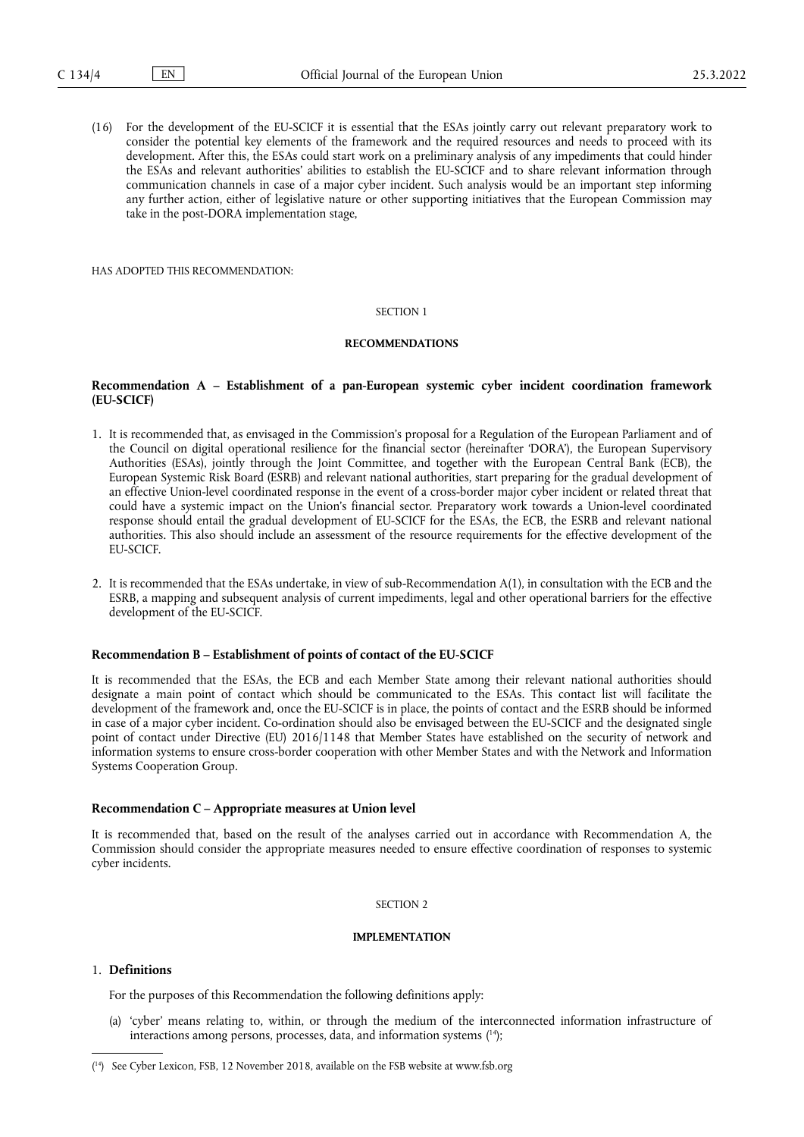(16) For the development of the EU-SCICF it is essential that the ESAs jointly carry out relevant preparatory work to consider the potential key elements of the framework and the required resources and needs to proceed with its development. After this, the ESAs could start work on a preliminary analysis of any impediments that could hinder the ESAs and relevant authorities' abilities to establish the EU-SCICF and to share relevant information through communication channels in case of a major cyber incident. Such analysis would be an important step informing any further action, either of legislative nature or other supporting initiatives that the European Commission may take in the post-DORA implementation stage,

HAS ADOPTED THIS RECOMMENDATION:

#### SECTION 1

#### **RECOMMENDATIONS**

## **Recommendation A – Establishment of a pan-European systemic cyber incident coordination framework (EU-SCICF)**

- 1. It is recommended that, as envisaged in the Commission's proposal for a Regulation of the European Parliament and of the Council on digital operational resilience for the financial sector (hereinafter 'DORA'), the European Supervisory Authorities (ESAs), jointly through the Joint Committee, and together with the European Central Bank (ECB), the European Systemic Risk Board (ESRB) and relevant national authorities, start preparing for the gradual development of an effective Union-level coordinated response in the event of a cross-border major cyber incident or related threat that could have a systemic impact on the Union's financial sector. Preparatory work towards a Union-level coordinated response should entail the gradual development of EU-SCICF for the ESAs, the ECB, the ESRB and relevant national authorities. This also should include an assessment of the resource requirements for the effective development of the EU-SCICF.
- 2. It is recommended that the ESAs undertake, in view of sub-Recommendation A(1), in consultation with the ECB and the ESRB, a mapping and subsequent analysis of current impediments, legal and other operational barriers for the effective development of the EU-SCICF.

### **Recommendation B – Establishment of points of contact of the EU-SCICF**

It is recommended that the ESAs, the ECB and each Member State among their relevant national authorities should designate a main point of contact which should be communicated to the ESAs. This contact list will facilitate the development of the framework and, once the EU-SCICF is in place, the points of contact and the ESRB should be informed in case of a major cyber incident. Co-ordination should also be envisaged between the EU-SCICF and the designated single point of contact under Directive (EU) 2016/1148 that Member States have established on the security of network and information systems to ensure cross-border cooperation with other Member States and with the Network and Information Systems Cooperation Group.

#### **Recommendation C – Appropriate measures at Union level**

It is recommended that, based on the result of the analyses carried out in accordance with Recommendation A, the Commission should consider the appropriate measures needed to ensure effective coordination of responses to systemic cyber incidents.

#### SECTION 2

## **IMPLEMENTATION**

# 1. **Definitions**

For the purposes of this Recommendation the following definitions apply:

<span id="page-3-1"></span>(a) 'cyber' means relating to, within, or through the medium of the interconnected information infrastructure of interactions among persons, processes, data, and information systems ( [14\)](#page-3-0);

<span id="page-3-0"></span><sup>(</sup> [14\)](#page-3-1) See Cyber Lexicon, FSB, 12 November 2018, available on the FSB website at <www.fsb.org>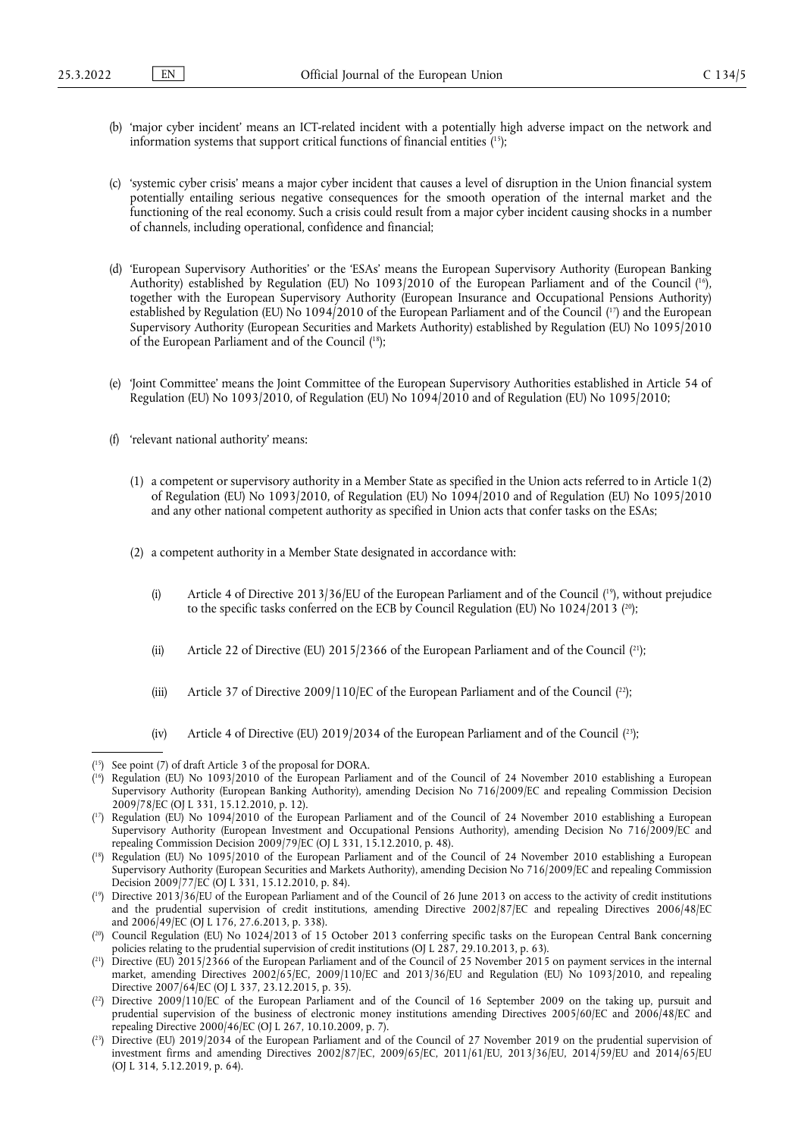- <span id="page-4-9"></span>(b) 'major cyber incident' means an ICT-related incident with a potentially high adverse impact on the network and information systems that support critical functions of financial entities ( [15\)](#page-4-0);
- (c) 'systemic cyber crisis' means a major cyber incident that causes a level of disruption in the Union financial system potentially entailing serious negative consequences for the smooth operation of the internal market and the functioning of the real economy. Such a crisis could result from a major cyber incident causing shocks in a number of channels, including operational, confidence and financial;
- <span id="page-4-11"></span><span id="page-4-10"></span>(d) 'European Supervisory Authorities' or the 'ESAs' means the European Supervisory Authority (European Banking Authority) established by Regulation (EU) No 1093/2010 of the European Parliament and of the Council (<sup>16</sup>), together with the European Supervisory Authority (European Insurance and Occupational Pensions Authority) established by Regulation (EU) No 1094/2010 of the European Parliament and of the Council (<sup>17</sup>) and the European Supervisory Authority (European Securities and Markets Authority) established by Regulation (EU) No 1095/2010 of the European Parliament and of the Council ( [18\);](#page-4-3)
- <span id="page-4-12"></span>(e) 'Joint Committee' means the Joint Committee of the European Supervisory Authorities established in Article 54 of Regulation (EU) No 1093/2010, of Regulation (EU) No 1094/2010 and of Regulation (EU) No 1095/2010;
- <span id="page-4-14"></span><span id="page-4-13"></span>(f) 'relevant national authority' means:
	- (1) a competent or supervisory authority in a Member State as specified in the Union acts referred to in Article 1(2) of Regulation (EU) No 1093/2010, of Regulation (EU) No 1094/2010 and of Regulation (EU) No 1095/2010 and any other national competent authority as specified in Union acts that confer tasks on the ESAs;
	- (2) a competent authority in a Member State designated in accordance with:
		- (i) Article 4 of Directive 2013/36/EU of the European Parliament and of the Council ( [19\),](#page-4-4) without prejudice to the specific tasks conferred on the ECB by Council Regulation (EU) No 1024/2013 ([20\);](#page-4-5)
		- (ii) Article 22 of Directive (EU) 2015/2366 of the European Parliament and of the Council  $({}^{21})$ ;
		- (iii) Article 37 of Directive 2009/110/EC of the European Parliament and of the Council  $\binom{22}{2}$ ;
		- (iv) Article 4 of Directive (EU)  $2019/2034$  of the European Parliament and of the Council  $(^{23})$ ;

- <span id="page-4-1"></span>( [16\)](#page-4-10) Regulation (EU) No 1093/2010 of the European Parliament and of the Council of 24 November 2010 establishing a European Supervisory Authority (European Banking Authority), amending Decision No 716/2009/EC and repealing Commission Decision 2009/78/EC (OJ L 331, 15.12.2010, p. 12).
- <span id="page-4-2"></span>( [17\)](#page-4-11) Regulation (EU) No 1094/2010 of the European Parliament and of the Council of 24 November 2010 establishing a European Supervisory Authority (European Investment and Occupational Pensions Authority), amending Decision No 716/2009/EC and repealing Commission Decision 2009/79/EC (OJ L 331, 15.12.2010, p. 48).
- <span id="page-4-3"></span>( [18\)](#page-4-12) Regulation (EU) No 1095/2010 of the European Parliament and of the Council of 24 November 2010 establishing a European Supervisory Authority (European Securities and Markets Authority), amending Decision No 716/2009/EC and repealing Commission Decision 2009/77/EC (OJ L 331, 15.12.2010, p. 84).
- <span id="page-4-4"></span>( [19\)](#page-4-13) Directive 2013/36/EU of the European Parliament and of the Council of 26 June 2013 on access to the activity of credit institutions and the prudential supervision of credit institutions, amending Directive 2002/87/EC and repealing Directives 2006/48/EC and 2006/49/EC (OJ L 176, 27.6.2013, p. 338).
- <span id="page-4-5"></span>( [20\)](#page-4-14) Council Regulation (EU) No 1024/2013 of 15 October 2013 conferring specific tasks on the European Central Bank concerning policies relating to the prudential supervision of credit institutions (OJ L 287, 29.10.2013, p. 63).
- <span id="page-4-6"></span>( [21\)](#page-4-15) Directive (EU) 2015/2366 of the European Parliament and of the Council of 25 November 2015 on payment services in the internal market, amending Directives 2002/65/EC, 2009/110/EC and 2013/36/EU and Regulation (EU) No 1093/2010, and repealing Directive 2007/64/EC (OJ L 337, 23.12.2015, p. 35).
- <span id="page-4-7"></span> $(2^2)$  Directive 2009/110/EC of the European Parliament and of the Council of 16 September 2009 on the taking up, pursuit and prudential supervision of the business of electronic money institutions amending Directives 2005/60/EC and 2006/48/EC and repealing Directive 2000/46/EC (OJ L 267, 10.10.2009, p. 7).
- <span id="page-4-8"></span>( [23\)](#page-4-17) Directive (EU) 2019/2034 of the European Parliament and of the Council of 27 November 2019 on the prudential supervision of investment firms and amending Directives 2002/87/EC, 2009/65/EC, 2011/61/EU, 2013/36/EU, 2014/59/EU and 2014/65/EU (OJ L 314, 5.12.2019, p. 64).

<span id="page-4-17"></span><span id="page-4-16"></span><span id="page-4-15"></span><span id="page-4-0"></span><sup>(</sup> [15\)](#page-4-9) See point (7) of draft Article 3 of the proposal for DORA.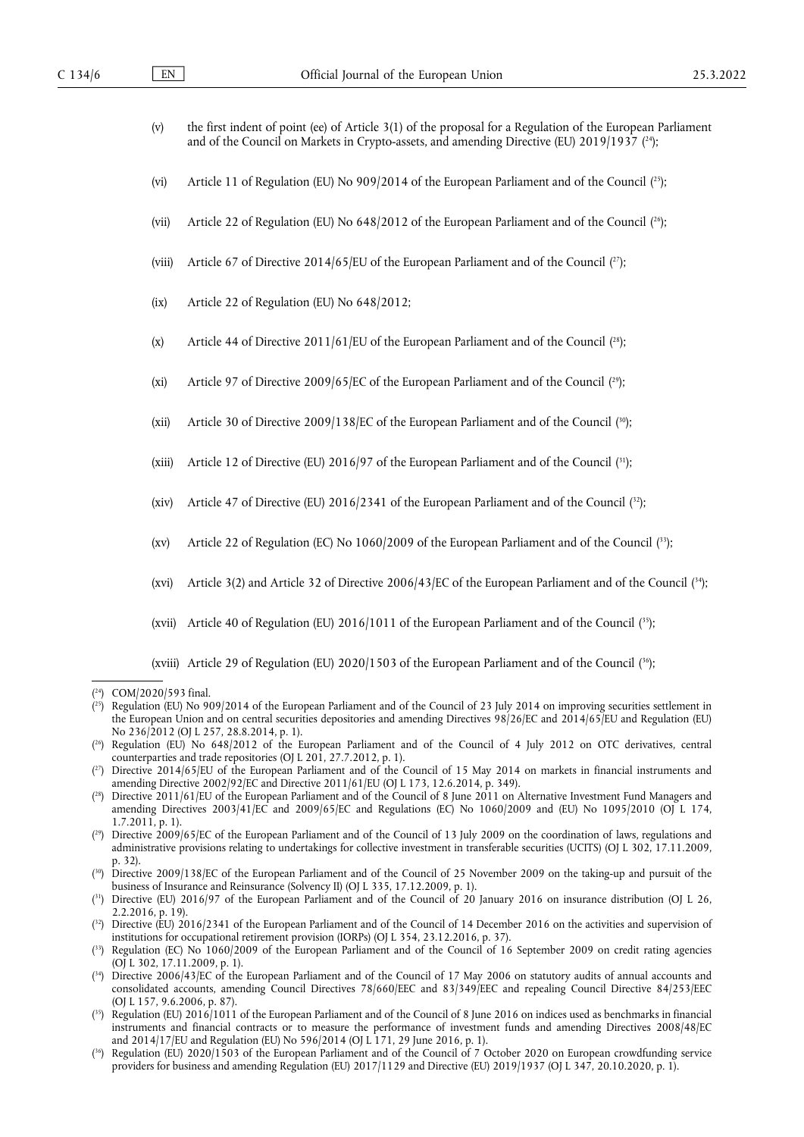- <span id="page-5-13"></span>(v) the first indent of point (ee) of Article 3(1) of the proposal for a Regulation of the European Parliament and of the Council on Markets in Crypto-assets, and amending Directive (EU) 2019/1937 ( [24\);](#page-5-0)
- <span id="page-5-14"></span>(vi) Article 11 of Regulation (EU) No 909/2014 of the European Parliament and of the Council  $(^{25})$ ;
- <span id="page-5-15"></span>(vii) Article 22 of Regulation (EU) No 648/2012 of the European Parliament and of the Council ( [26\);](#page-5-2)
- <span id="page-5-16"></span>(viii) Article 67 of Directive 2014/65/EU of the European Parliament and of the Council  $(2^r)$ ;
- (ix) Article 22 of Regulation (EU) No 648/2012;
- <span id="page-5-17"></span>(x) Article 44 of Directive 2011/61/EU of the European Parliament and of the Council  $(^{28})$ ;
- <span id="page-5-18"></span>(xi) Article 97 of Directive 2009/65/EC of the European Parliament and of the Council  $(2^{\circ})$ ;
- <span id="page-5-19"></span>(xii) Article 30 of Directive 2009/138/EC of the European Parliament and of the Council ( [30\)](#page-5-6);
- <span id="page-5-20"></span>(xiii) Article 12 of Directive (EU) 2016/97 of the European Parliament and of the Council ( [31\)](#page-5-7);
- <span id="page-5-21"></span>(xiv) Article 47 of Directive (EU) 2016/2341 of the European Parliament and of the Council  $(32)$  $(32)$ ;
- <span id="page-5-22"></span>(xv) Article 22 of Regulation (EC) No 1060/2009 of the European Parliament and of the Council ( [33\)](#page-5-9);
- <span id="page-5-23"></span>(xvi) Article 3(2) and Article 32 of Directive 2006/43/EC of the European Parliament and of the Council ( [34\)](#page-5-10);
- <span id="page-5-24"></span>(xvii) Article 40 of Regulation (EU)  $2016/1011$  of the European Parliament and of the Council (<sup>35</sup>);

<span id="page-5-25"></span>(xviii) Article 29 of Regulation (EU) 2020/1503 of the European Parliament and of the Council ( [36\)](#page-5-12);

- <span id="page-5-1"></span>( [25\)](#page-5-14) Regulation (EU) No 909/2014 of the European Parliament and of the Council of 23 July 2014 on improving securities settlement in the European Union and on central securities depositories and amending Directives 98/26/EC and 2014/65/EU and Regulation (EU) No 236/2012 (OJ L 257, 28.8.2014, p. 1).
- <span id="page-5-2"></span>( [26\)](#page-5-15) Regulation (EU) No 648/2012 of the European Parliament and of the Council of 4 July 2012 on OTC derivatives, central counterparties and trade repositories (OJ L 201, 27.7.2012, p. 1).
- <span id="page-5-3"></span>( [27\)](#page-5-16) Directive 2014/65/EU of the European Parliament and of the Council of 15 May 2014 on markets in financial instruments and amending Directive 2002/92/EC and Directive 2011/61/EU (OJ L 173, 12.6.2014, p. 349).
- <span id="page-5-4"></span>( [28\)](#page-5-17) Directive 2011/61/EU of the European Parliament and of the Council of 8 June 2011 on Alternative Investment Fund Managers and amending Directives 2003/41/EC and 2009/65/EC and Regulations (EC) No 1060/2009 and (EU) No 1095/2010 (OJ L 174, 1.7.2011, p. 1).
- <span id="page-5-5"></span>( [29\)](#page-5-18) Directive 2009/65/EC of the European Parliament and of the Council of 13 July 2009 on the coordination of laws, regulations and administrative provisions relating to undertakings for collective investment in transferable securities (UCITS) (OJ L 302, 17.11.2009, p. 32).
- <span id="page-5-6"></span>( [30\)](#page-5-19) Directive 2009/138/EC of the European Parliament and of the Council of 25 November 2009 on the taking-up and pursuit of the business of Insurance and Reinsurance (Solvency II) (OJ L 335, 17.12.2009, p. 1).
- <span id="page-5-7"></span>( [31\)](#page-5-20) Directive (EU) 2016/97 of the European Parliament and of the Council of 20 January 2016 on insurance distribution (OJ L 26, 2.2.2016, p. 19).
- <span id="page-5-8"></span> $(3^2)$  Directive (EU) 2016/2341 of the European Parliament and of the Council of 14 December 2016 on the activities and supervision of institutions for occupational retirement provision (IORPs) (OJ L 354, 23.12.2016, p. 37).
- <span id="page-5-9"></span>( [33\)](#page-5-22) Regulation (EC) No 1060/2009 of the European Parliament and of the Council of 16 September 2009 on credit rating agencies (OJ L 302, 17.11.2009, p. 1).
- <span id="page-5-10"></span>( [34\)](#page-5-23) Directive 2006/43/EC of the European Parliament and of the Council of 17 May 2006 on statutory audits of annual accounts and consolidated accounts, amending Council Directives 78/660/EEC and 83/349/EEC and repealing Council Directive 84/253/EEC (OJ L 157, 9.6.2006, p. 87).
- <span id="page-5-11"></span>( [35\)](#page-5-24) Regulation (EU) 2016/1011 of the European Parliament and of the Council of 8 June 2016 on indices used as benchmarks in financial instruments and financial contracts or to measure the performance of investment funds and amending Directives 2008/48/EC and 2014/17/EU and Regulation (EU) No 596/2014 (OJ L 171, 29 June 2016, p. 1).
- <span id="page-5-12"></span>( [36\)](#page-5-25) Regulation (EU) 2020/1503 of the European Parliament and of the Council of 7 October 2020 on European crowdfunding service providers for business and amending Regulation (EU) 2017/1129 and Directive (EU) 2019/1937 (OJ L 347, 20.10.2020, p. 1).

<span id="page-5-0"></span><sup>(</sup> [24\)](#page-5-13) COM/2020/593 final.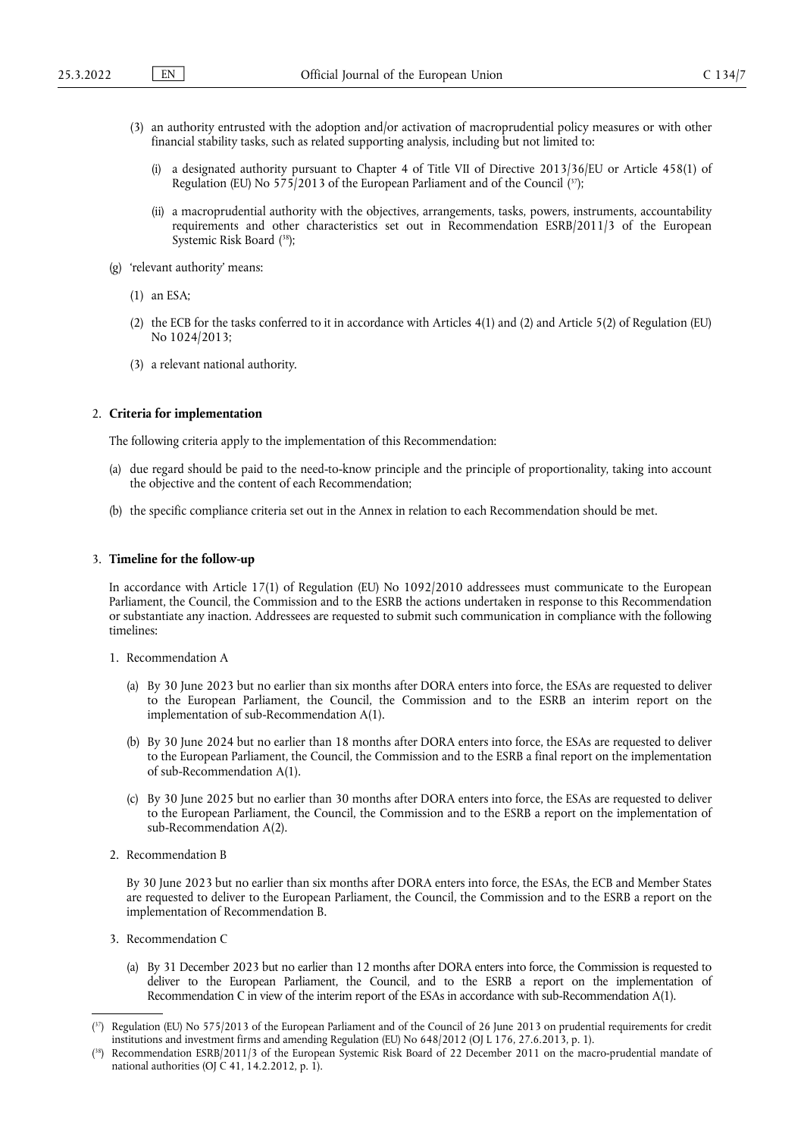- <span id="page-6-2"></span>(3) an authority entrusted with the adoption and/or activation of macroprudential policy measures or with other financial stability tasks, such as related supporting analysis, including but not limited to:
	- (i) a designated authority pursuant to Chapter 4 of Title VII of Directive 2013/36/EU or Article 458(1) of Regulation (EU) No 575/2013 of the European Parliament and of the Council ([37\)](#page-6-0);
	- (ii) a macroprudential authority with the objectives, arrangements, tasks, powers, instruments, accountability requirements and other characteristics set out in Recommendation ESRB/2011/3 of the European Systemic Risk Board ( [38\);](#page-6-1)
- <span id="page-6-3"></span>(g) 'relevant authority' means:
	- (1) an ESA;
	- (2) the ECB for the tasks conferred to it in accordance with Articles 4(1) and (2) and Article 5(2) of Regulation (EU) No 1024/2013;
	- (3) a relevant national authority.

### 2. **Criteria for implementation**

The following criteria apply to the implementation of this Recommendation:

- (a) due regard should be paid to the need-to-know principle and the principle of proportionality, taking into account the objective and the content of each Recommendation;
- (b) the specific compliance criteria set out in the Annex in relation to each Recommendation should be met.

#### 3. **Timeline for the follow-up**

In accordance with Article 17(1) of Regulation (EU) No 1092/2010 addressees must communicate to the European Parliament, the Council, the Commission and to the ESRB the actions undertaken in response to this Recommendation or substantiate any inaction. Addressees are requested to submit such communication in compliance with the following timelines:

- 1. Recommendation A
	- (a) By 30 June 2023 but no earlier than six months after DORA enters into force, the ESAs are requested to deliver to the European Parliament, the Council, the Commission and to the ESRB an interim report on the implementation of sub-Recommendation A(1).
	- (b) By 30 June 2024 but no earlier than 18 months after DORA enters into force, the ESAs are requested to deliver to the European Parliament, the Council, the Commission and to the ESRB a final report on the implementation of sub-Recommendation A(1).
	- (c) By 30 June 2025 but no earlier than 30 months after DORA enters into force, the ESAs are requested to deliver to the European Parliament, the Council, the Commission and to the ESRB a report on the implementation of sub-Recommendation A(2).
- 2. Recommendation B

By 30 June 2023 but no earlier than six months after DORA enters into force, the ESAs, the ECB and Member States are requested to deliver to the European Parliament, the Council, the Commission and to the ESRB a report on the implementation of Recommendation B.

- 3. Recommendation C
	- (a) By 31 December 2023 but no earlier than 12 months after DORA enters into force, the Commission is requested to deliver to the European Parliament, the Council, and to the ESRB a report on the implementation of Recommendation C in view of the interim report of the ESAs in accordance with sub-Recommendation A(1).

<span id="page-6-0"></span><sup>(</sup> [37\)](#page-6-2) Regulation (EU) No 575/2013 of the European Parliament and of the Council of 26 June 2013 on prudential requirements for credit institutions and investment firms and amending Regulation (EU) No 648/2012 (OJ L 176, 27.6.2013, p. 1).

<span id="page-6-1"></span><sup>(</sup> Recommendation ESRB/2011/3 of the European Systemic Risk Board of 22 December 2011 on the macro-prudential mandate of national authorities (OJ C 41, 14.2.2012, p. 1).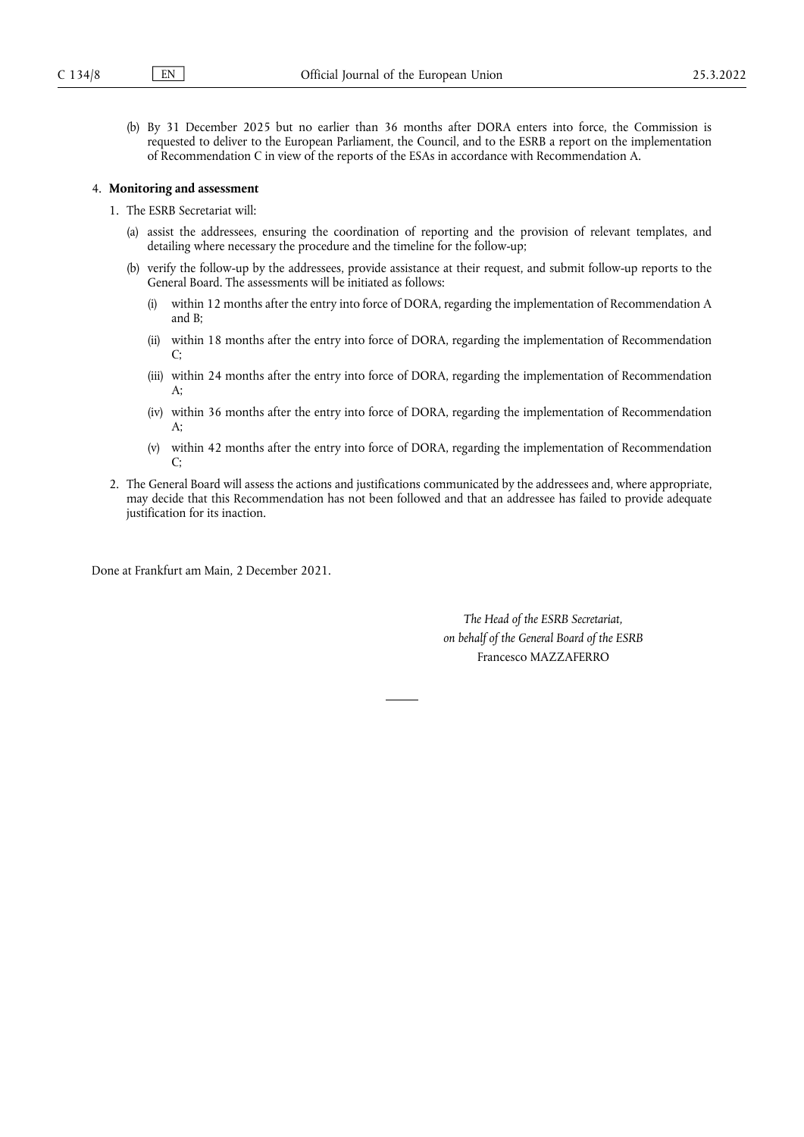(b) By 31 December 2025 but no earlier than 36 months after DORA enters into force, the Commission is requested to deliver to the European Parliament, the Council, and to the ESRB a report on the implementation of Recommendation C in view of the reports of the ESAs in accordance with Recommendation A.

# 4. **Monitoring and assessment**

- 1. The ESRB Secretariat will:
	- (a) assist the addressees, ensuring the coordination of reporting and the provision of relevant templates, and detailing where necessary the procedure and the timeline for the follow-up;
	- (b) verify the follow-up by the addressees, provide assistance at their request, and submit follow-up reports to the General Board. The assessments will be initiated as follows:
		- (i) within 12 months after the entry into force of DORA, regarding the implementation of Recommendation A and B;
		- (ii) within 18 months after the entry into force of DORA, regarding the implementation of Recommendation  $\Gamma$
		- (iii) within 24 months after the entry into force of DORA, regarding the implementation of Recommendation A;
		- (iv) within 36 months after the entry into force of DORA, regarding the implementation of Recommendation  $A$ :
		- (v) within 42 months after the entry into force of DORA, regarding the implementation of Recommendation C;
- 2. The General Board will assess the actions and justifications communicated by the addressees and, where appropriate, may decide that this Recommendation has not been followed and that an addressee has failed to provide adequate justification for its inaction.

Done at Frankfurt am Main, 2 December 2021.

*The Head of the ESRB Secretariat, on behalf of the General Board of the ESRB* Francesco MAZZAFERRO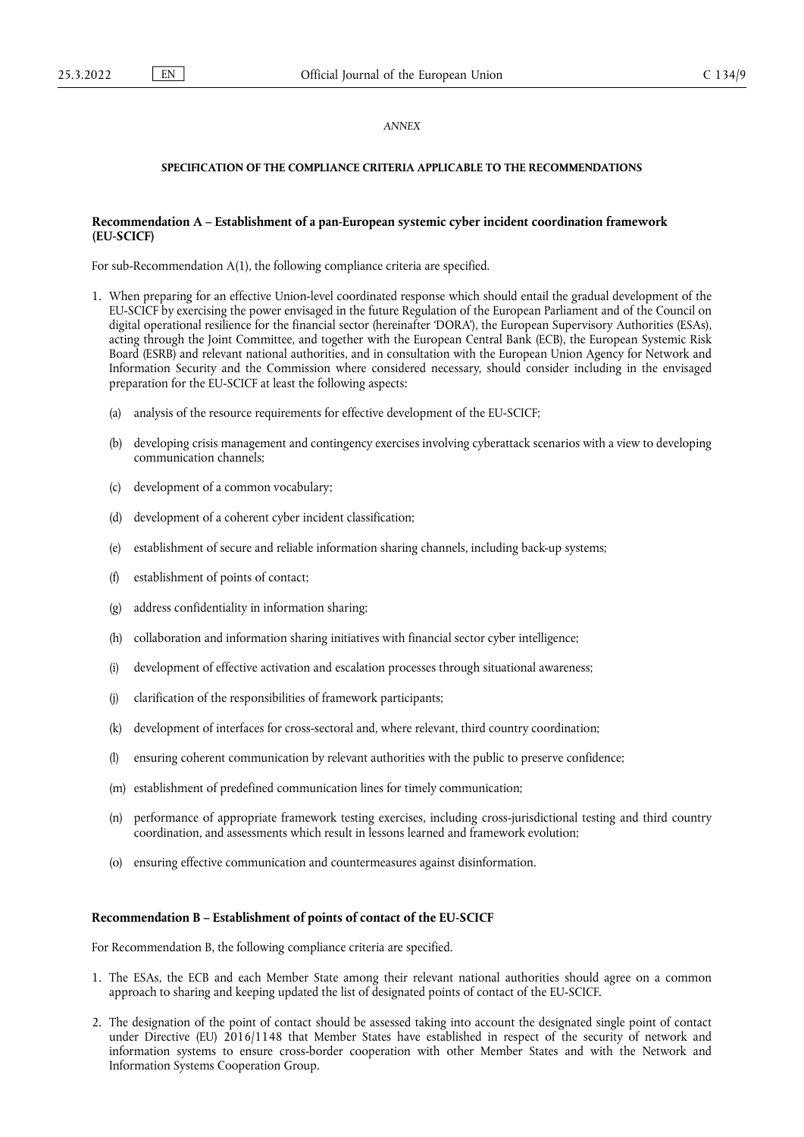### *ANNEX*

## **SPECIFICATION OF THE COMPLIANCE CRITERIA APPLICABLE TO THE RECOMMENDATIONS**

### **Recommendation A – Establishment of a pan-European systemic cyber incident coordination framework (EU-SCICF)**

For sub-Recommendation A(1), the following compliance criteria are specified.

- 1. When preparing for an effective Union-level coordinated response which should entail the gradual development of the EU-SCICF by exercising the power envisaged in the future Regulation of the European Parliament and of the Council on digital operational resilience for the financial sector (hereinafter 'DORA'), the European Supervisory Authorities (ESAs), acting through the Joint Committee, and together with the European Central Bank (ECB), the European Systemic Risk Board (ESRB) and relevant national authorities, and in consultation with the European Union Agency for Network and Information Security and the Commission where considered necessary, should consider including in the envisaged preparation for the EU-SCICF at least the following aspects:
	- (a) analysis of the resource requirements for effective development of the EU-SCICF;
	- (b) developing crisis management and contingency exercises involving cyberattack scenarios with a view to developing communication channels;
	- (c) development of a common vocabulary;
	- (d) development of a coherent cyber incident classification;
	- (e) establishment of secure and reliable information sharing channels, including back-up systems;
	- (f) establishment of points of contact;
	- (g) address confidentiality in information sharing;
	- (h) collaboration and information sharing initiatives with financial sector cyber intelligence;
	- (i) development of effective activation and escalation processes through situational awareness;
	- (j) clarification of the responsibilities of framework participants;
	- (k) development of interfaces for cross-sectoral and, where relevant, third country coordination;
	- (l) ensuring coherent communication by relevant authorities with the public to preserve confidence;
	- (m) establishment of predefined communication lines for timely communication;
	- (n) performance of appropriate framework testing exercises, including cross-jurisdictional testing and third country coordination, and assessments which result in lessons learned and framework evolution;
	- (o) ensuring effective communication and countermeasures against disinformation.

### **Recommendation B – Establishment of points of contact of the EU-SCICF**

For Recommendation B, the following compliance criteria are specified.

- 1. The ESAs, the ECB and each Member State among their relevant national authorities should agree on a common approach to sharing and keeping updated the list of designated points of contact of the EU-SCICF.
- 2. The designation of the point of contact should be assessed taking into account the designated single point of contact under Directive (EU) 2016/1148 that Member States have established in respect of the security of network and information systems to ensure cross-border cooperation with other Member States and with the Network and Information Systems Cooperation Group.